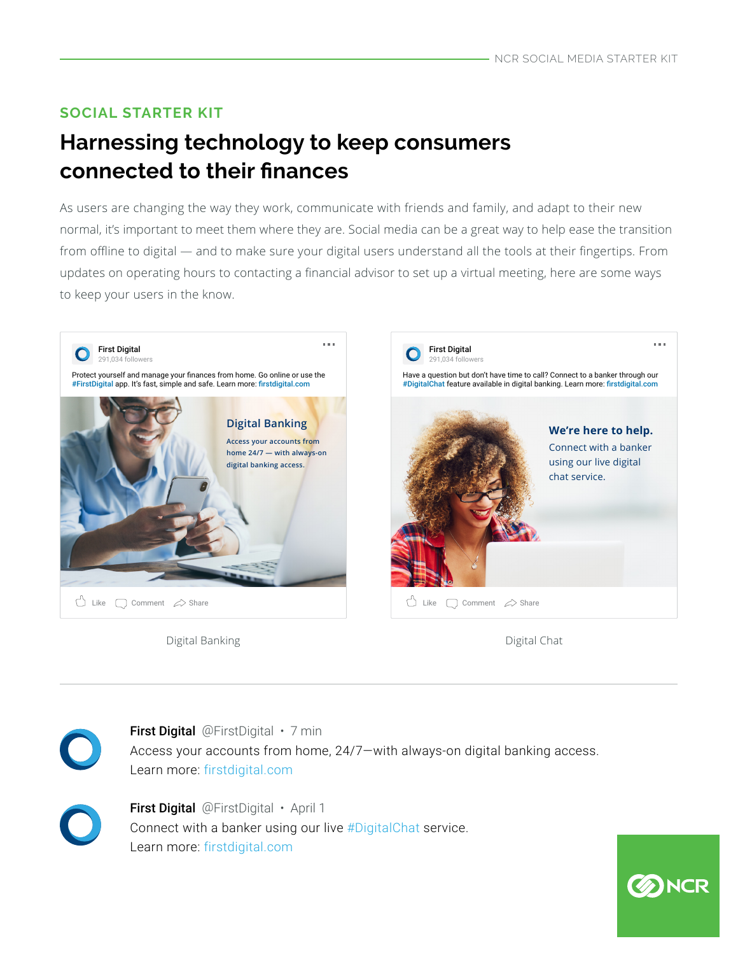### **SOCIAL STARTER KIT**

# **Harnessing technology to keep consumers connected to their fnances**

As users are changing the way they work, communicate with friends and family, and adapt to their new normal, it's important to meet them where they are. Social media can be a great way to help ease the transition from offline to digital — and to make sure your digital users understand all the tools at their fingertips. From updates on operating hours to contacting a fnancial advisor to set up a virtual meeting, here are some ways to keep your users in the know.



Digital Banking Digital Chat

**B**NCR



First Digital @FirstDigital • 7 min Access your accounts from home, 24/7—with always-on digital banking access. Learn more: firstdigital.com



First Digital @FirstDigital · April 1 Connect with a banker using our live #DigitalChat service. Learn more: firstdigital.com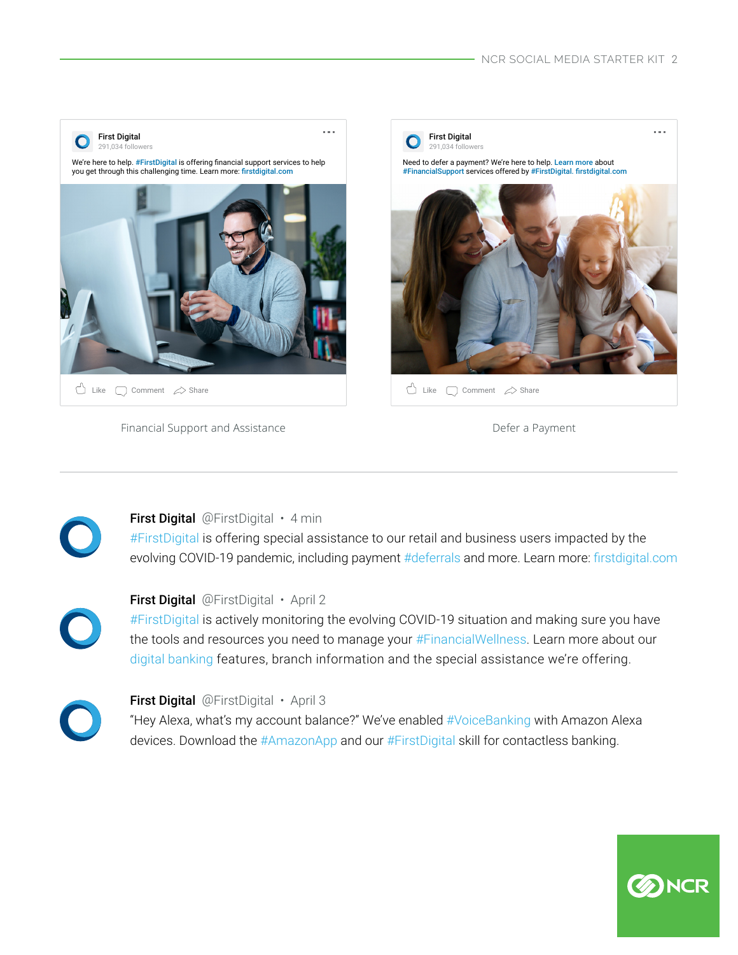

Financial Support and Assistance **Deferred a Payment** Defer a Payment

**B**NCR



#FirstDigital is offering special assistance to our retail and business users impacted by the evolving COVID-19 pandemic, including payment #deferrals and more. Learn more: firstdigital.com



#### First Digital @FirstDigital · April 2

#FirstDigital is actively monitoring the evolving COVID-19 situation and making sure you have the tools and resources you need to manage your #FinancialWellness. Learn more about our digital banking features, branch information and the special assistance we're offering.



#### First Digital @FirstDigital · April 3

"Hey Alexa, what's my account balance?" We've enabled #VoiceBanking with Amazon Alexa devices. Download the #AmazonApp and our #FirstDigital skill for contactless banking.